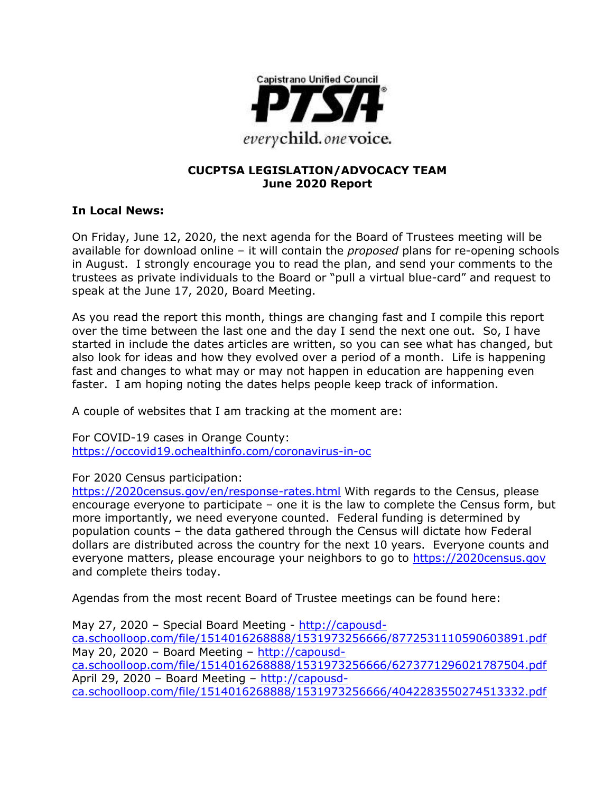

#### **CUCPTSA LEGISLATION/ADVOCACY TEAM June 2020 Report**

#### **In Local News:**

On Friday, June 12, 2020, the next agenda for the Board of Trustees meeting will be available for download online – it will contain the *proposed* plans for re-opening schools in August. I strongly encourage you to read the plan, and send your comments to the trustees as private individuals to the Board or "pull a virtual blue-card" and request to speak at the June 17, 2020, Board Meeting.

As you read the report this month, things are changing fast and I compile this report over the time between the last one and the day I send the next one out. So, I have started in include the dates articles are written, so you can see what has changed, but also look for ideas and how they evolved over a period of a month. Life is happening fast and changes to what may or may not happen in education are happening even faster. I am hoping noting the dates helps people keep track of information.

A couple of websites that I am tracking at the moment are:

For COVID-19 cases in Orange County: <https://occovid19.ochealthinfo.com/coronavirus-in-oc>

#### For 2020 Census participation:

<https://2020census.gov/en/response-rates.html> With regards to the Census, please encourage everyone to participate – one it is the law to complete the Census form, but more importantly, we need everyone counted. Federal funding is determined by population counts – the data gathered through the Census will dictate how Federal dollars are distributed across the country for the next 10 years. Everyone counts and everyone matters, please encourage your neighbors to go to [https://2020census.gov](https://2020census.gov/) and complete theirs today.

Agendas from the most recent Board of Trustee meetings can be found here:

May 27, 2020 – Special Board Meeting - [http://capousd](http://capousd-ca.schoolloop.com/file/1514016268888/1531973256666/8772531110590603891.pdf)[ca.schoolloop.com/file/1514016268888/1531973256666/8772531110590603891.pdf](http://capousd-ca.schoolloop.com/file/1514016268888/1531973256666/8772531110590603891.pdf) May 20, 2020 – Board Meeting – [http://capousd](http://capousd-ca.schoolloop.com/file/1514016268888/1531973256666/6273771296021787504.pdf)[ca.schoolloop.com/file/1514016268888/1531973256666/6273771296021787504.pdf](http://capousd-ca.schoolloop.com/file/1514016268888/1531973256666/6273771296021787504.pdf) April 29, 2020 – Board Meeting – [http://capousd](http://capousd-ca.schoolloop.com/file/1514016268888/1531973256666/4042283550274513332.pdf)[ca.schoolloop.com/file/1514016268888/1531973256666/4042283550274513332.pdf](http://capousd-ca.schoolloop.com/file/1514016268888/1531973256666/4042283550274513332.pdf)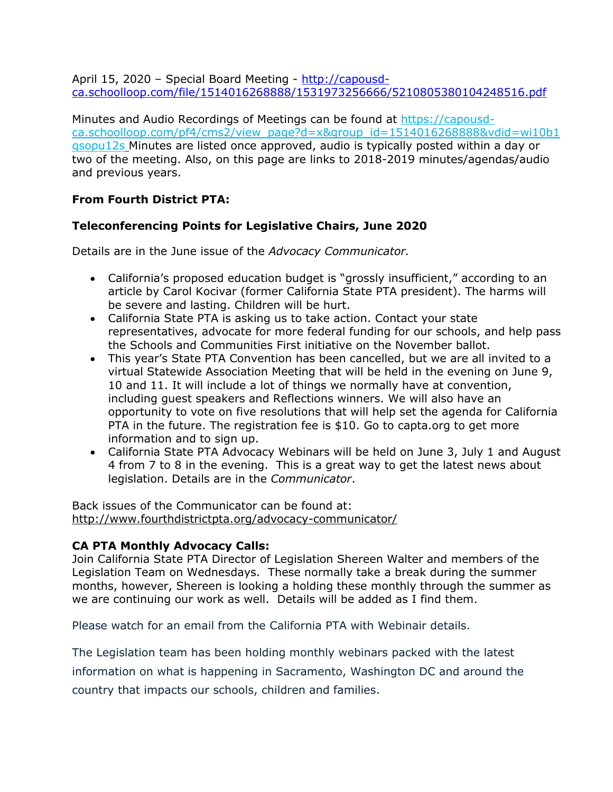April 15, 2020 - Special Board Meeting - [http://capousd](http://capousd-ca.schoolloop.com/file/1514016268888/1531973256666/5210805380104248516.pdf)[ca.schoolloop.com/file/1514016268888/1531973256666/5210805380104248516.pdf](http://capousd-ca.schoolloop.com/file/1514016268888/1531973256666/5210805380104248516.pdf)

Minutes and Audio Recordings of Meetings can be found at [https://capousd](https://capousd-ca.schoolloop.com/pf4/cms2/view_page?d=x&group_id=1514016268888&vdid=wi10b1qsopu12s)[ca.schoolloop.com/pf4/cms2/view\\_page?d=x&group\\_id=1514016268888&vdid=wi10b1](https://capousd-ca.schoolloop.com/pf4/cms2/view_page?d=x&group_id=1514016268888&vdid=wi10b1qsopu12s) [qsopu12s](https://capousd-ca.schoolloop.com/pf4/cms2/view_page?d=x&group_id=1514016268888&vdid=wi10b1qsopu12s) Minutes are listed once approved, audio is typically posted within a day or two of the meeting. Also, on this page are links to 2018-2019 minutes/agendas/audio and previous years.

### **From Fourth District PTA:**

### **Teleconferencing Points for Legislative Chairs, June 2020**

Details are in the June issue of the *Advocacy Communicator.*

- California's proposed education budget is "grossly insufficient," according to an article by Carol Kocivar (former California State PTA president). The harms will be severe and lasting. Children will be hurt.
- California State PTA is asking us to take action. Contact your state representatives, advocate for more federal funding for our schools, and help pass the Schools and Communities First initiative on the November ballot.
- This year's State PTA Convention has been cancelled, but we are all invited to a virtual Statewide Association Meeting that will be held in the evening on June 9, 10 and 11. It will include a lot of things we normally have at convention, including guest speakers and Reflections winners. We will also have an opportunity to vote on five resolutions that will help set the agenda for California PTA in the future. The registration fee is \$10. Go to capta.org to get more information and to sign up.
- California State PTA Advocacy Webinars will be held on June 3, July 1 and August 4 from 7 to 8 in the evening. This is a great way to get the latest news about legislation. Details are in the *Communicator*.

Back issues of the Communicator can be found at: <http://www.fourthdistrictpta.org/advocacy-communicator/>

#### **CA PTA Monthly Advocacy Calls:**

Join California State PTA Director of Legislation Shereen Walter and members of the Legislation Team on Wednesdays. These normally take a break during the summer months, however, Shereen is looking a holding these monthly through the summer as we are continuing our work as well. Details will be added as I find them.

Please watch for an email from the California PTA with Webinair details.

The Legislation team has been holding monthly webinars packed with the latest information on what is happening in Sacramento, Washington DC and around the country that impacts our schools, children and families.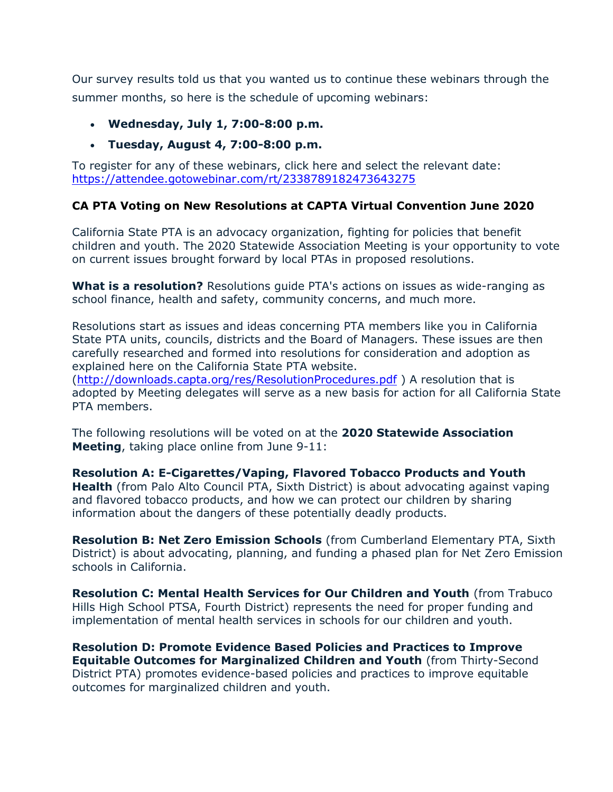Our survey results told us that you wanted us to continue these webinars through the summer months, so here is the schedule of upcoming webinars:

- **Wednesday, July 1, 7:00-8:00 p.m.**
- **Tuesday, August 4, 7:00-8:00 p.m.**

To register for any of these webinars, click here and select the relevant date: [https://attendee.gotowebinar.com/rt/2338789182473643275](http://capta.bmetrack.com/c/l?u=A58E299&e=1061636&c=4592C&t=0&l=1D346C1C&email=FDWCFR2ZsRnBmr%2FysSLM7l3FR2oCyWzg&seq=1)

#### **CA PTA Voting on New Resolutions at CAPTA Virtual Convention June 2020**

California State PTA is an advocacy organization, fighting for policies that benefit children and youth. The 2020 Statewide Association Meeting is your opportunity to vote on current issues brought forward by local PTAs in proposed resolutions.

**What is a resolution?** Resolutions guide PTA's actions on issues as wide-ranging as school finance, health and safety, community concerns, and much more.

Resolutions start as issues and ideas concerning PTA members like you in California State PTA units, councils, districts and the Board of Managers. These issues are then carefully researched and formed into resolutions for consideration and adoption as explained here on the California State PTA website.

[\(http://downloads.capta.org/res/ResolutionProcedures.pdf](http://downloads.capta.org/res/ResolutionProcedures.pdf) ) A resolution that is adopted by Meeting delegates will serve as a new basis for action for all California State PTA members.

The following resolutions will be voted on at the **2020 Statewide Association Meeting**, taking place online from June 9-11:

**Resolution A: E-Cigarettes/Vaping, Flavored Tobacco Products and Youth Health** (from Palo Alto Council PTA, Sixth District) is about advocating against vaping and flavored tobacco products, and how we can protect our children by sharing information about the dangers of these potentially deadly products.

**Resolution B: Net Zero Emission Schools** (from Cumberland Elementary PTA, Sixth District) is about advocating, planning, and funding a phased plan for Net Zero Emission schools in California.

**Resolution C: Mental Health Services for Our Children and Youth** (from Trabuco Hills High School PTSA, Fourth District) represents the need for proper funding and implementation of mental health services in schools for our children and youth.

**Resolution D: Promote Evidence Based Policies and Practices to Improve Equitable Outcomes for Marginalized Children and Youth** (from Thirty-Second District PTA) promotes evidence-based policies and practices to improve equitable outcomes for marginalized children and youth.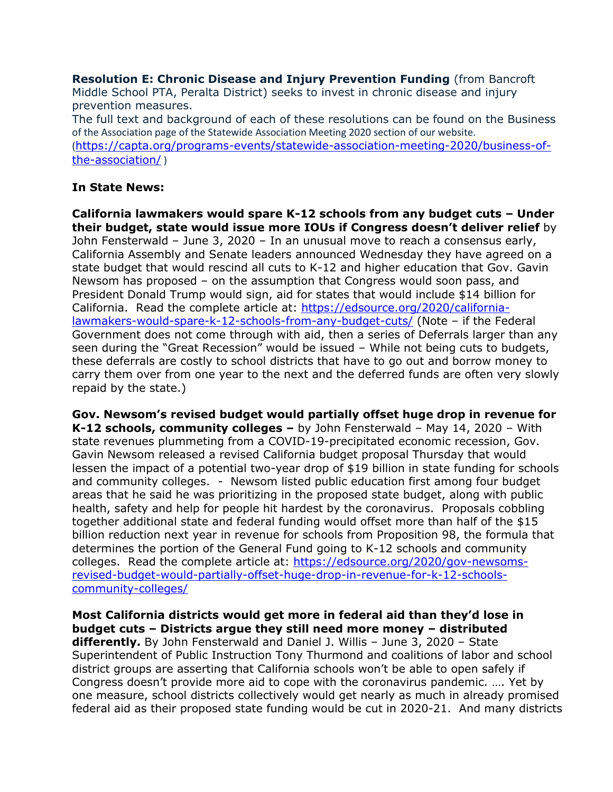**Resolution E: Chronic Disease and Injury Prevention Funding** (from Bancroft Middle School PTA, Peralta District) seeks to invest in chronic disease and injury prevention measures.

The full text and background of each of these resolutions can be found on the Business of the Association page of the Statewide Association Meeting 2020 section of our website. ([https://capta.org/programs-events/statewide-association-meeting-2020/business-of](https://capta.org/programs-events/statewide-association-meeting-2020/business-of-the-association/)[the-association/](https://capta.org/programs-events/statewide-association-meeting-2020/business-of-the-association/) )

### **In State News:**

**California lawmakers would spare K-12 schools from any budget cuts – Under their budget, state would issue more IOUs if Congress doesn't deliver relief** by John Fensterwald – June 3, 2020 – In an unusual move to reach a consensus early, California Assembly and Senate leaders announced Wednesday they have agreed on a state budget that would rescind all cuts to K-12 and higher education that Gov. Gavin Newsom has proposed – on the assumption that Congress would soon pass, and President Donald Trump would sign, aid for states that would include \$14 billion for California. Read the complete article at: [https://edsource.org/2020/california](https://edsource.org/2020/california-lawmakers-would-spare-k-12-schools-from-any-budget-cuts/)[lawmakers-would-spare-k-12-schools-from-any-budget-cuts/](https://edsource.org/2020/california-lawmakers-would-spare-k-12-schools-from-any-budget-cuts/) (Note – if the Federal Government does not come through with aid, then a series of Deferrals larger than any seen during the "Great Recession" would be issued – While not being cuts to budgets, these deferrals are costly to school districts that have to go out and borrow money to carry them over from one year to the next and the deferred funds are often very slowly repaid by the state.)

**Gov. Newsom's revised budget would partially offset huge drop in revenue for K-12 schools, community colleges –** by John Fensterwald – May 14, 2020 – With state revenues plummeting from a COVID-19-precipitated economic recession, Gov. Gavin Newsom released a revised California budget proposal Thursday that would lessen the impact of a potential two-year drop of \$19 billion in state funding for schools and community colleges. - Newsom listed public education first among four budget areas that he said he was prioritizing in the proposed state budget, along with public health, safety and help for people hit hardest by the coronavirus. Proposals cobbling together additional state and federal funding would offset more than half of the \$15 billion reduction next year in revenue for schools from Proposition 98, the formula that determines the portion of the General Fund going to K-12 schools and community colleges. Read the complete article at: [https://edsource.org/2020/gov-newsoms](https://edsource.org/2020/gov-newsoms-revised-budget-would-partially-offset-huge-drop-in-revenue-for-k-12-schools-community-colleges/)[revised-budget-would-partially-offset-huge-drop-in-revenue-for-k-12-schools](https://edsource.org/2020/gov-newsoms-revised-budget-would-partially-offset-huge-drop-in-revenue-for-k-12-schools-community-colleges/)[community-colleges/](https://edsource.org/2020/gov-newsoms-revised-budget-would-partially-offset-huge-drop-in-revenue-for-k-12-schools-community-colleges/)

**Most California districts would get more in federal aid than they'd lose in budget cuts – Districts argue they still need more money – distributed differently.** By John Fensterwald and Daniel J. Willis – June 3, 2020 – State Superintendent of Public Instruction Tony Thurmond and coalitions of labor and school district groups are asserting that California schools won't be able to open safely if Congress doesn't provide more aid to cope with the coronavirus pandemic. …. Yet by one measure, school districts collectively would get nearly as much in already promised federal aid as their proposed state funding would be cut in 2020-21. And many districts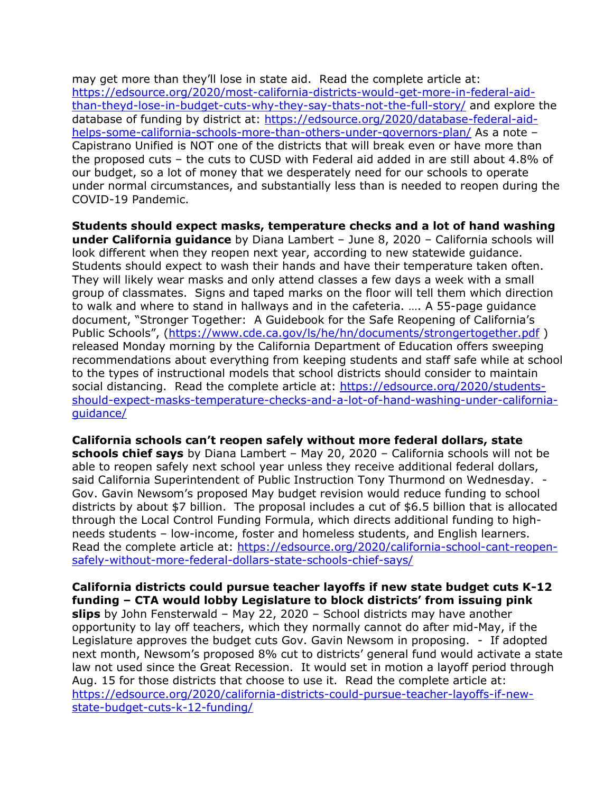may get more than they'll lose in state aid. Read the complete article at: [https://edsource.org/2020/most-california-districts-would-get-more-in-federal-aid](https://edsource.org/2020/most-california-districts-would-get-more-in-federal-aid-than-theyd-lose-in-budget-cuts-why-they-say-thats-not-the-full-story/)[than-theyd-lose-in-budget-cuts-why-they-say-thats-not-the-full-story/](https://edsource.org/2020/most-california-districts-would-get-more-in-federal-aid-than-theyd-lose-in-budget-cuts-why-they-say-thats-not-the-full-story/) and explore the database of funding by district at: [https://edsource.org/2020/database-federal-aid](https://edsource.org/2020/database-federal-aid-helps-some-california-schools-more-than-others-under-governors-plan/)[helps-some-california-schools-more-than-others-under-governors-plan/](https://edsource.org/2020/database-federal-aid-helps-some-california-schools-more-than-others-under-governors-plan/) As a note – Capistrano Unified is NOT one of the districts that will break even or have more than the proposed cuts – the cuts to CUSD with Federal aid added in are still about 4.8% of our budget, so a lot of money that we desperately need for our schools to operate under normal circumstances, and substantially less than is needed to reopen during the COVID-19 Pandemic.

**Students should expect masks, temperature checks and a lot of hand washing under California guidance** by Diana Lambert – June 8, 2020 – California schools will look different when they reopen next year, according to new statewide guidance. Students should expect to wash their hands and have their temperature taken often. They will likely wear masks and only attend classes a few days a week with a small group of classmates. Signs and taped marks on the floor will tell them which direction to walk and where to stand in hallways and in the cafeteria. …. A 55-page guidance document, "Stronger Together: A Guidebook for the Safe Reopening of California's Public Schools", [\(https://www.cde.ca.gov/ls/he/hn/documents/strongertogether.pdf](https://www.cde.ca.gov/ls/he/hn/documents/strongertogether.pdf) ) released Monday morning by the California Department of Education offers sweeping recommendations about everything from keeping students and staff safe while at school to the types of instructional models that school districts should consider to maintain social distancing. Read the complete article at: [https://edsource.org/2020/students](https://edsource.org/2020/students-should-expect-masks-temperature-checks-and-a-lot-of-hand-washing-under-california-guidance/)[should-expect-masks-temperature-checks-and-a-lot-of-hand-washing-under-california](https://edsource.org/2020/students-should-expect-masks-temperature-checks-and-a-lot-of-hand-washing-under-california-guidance/)[guidance/](https://edsource.org/2020/students-should-expect-masks-temperature-checks-and-a-lot-of-hand-washing-under-california-guidance/)

**California schools can't reopen safely without more federal dollars, state schools chief says** by Diana Lambert – May 20, 2020 – California schools will not be able to reopen safely next school year unless they receive additional federal dollars, said California Superintendent of Public Instruction Tony Thurmond on Wednesday. -Gov. Gavin Newsom's proposed May budget revision would reduce funding to school districts by about \$7 billion. The proposal includes a cut of \$6.5 billion that is allocated through the Local Control Funding Formula, which directs additional funding to highneeds students – low-income, foster and homeless students, and English learners. Read the complete article at: [https://edsource.org/2020/california-school-cant-reopen](https://edsource.org/2020/california-school-cant-reopen-safely-without-more-federal-dollars-state-schools-chief-says/)[safely-without-more-federal-dollars-state-schools-chief-says/](https://edsource.org/2020/california-school-cant-reopen-safely-without-more-federal-dollars-state-schools-chief-says/)

**California districts could pursue teacher layoffs if new state budget cuts K-12 funding – CTA would lobby Legislature to block districts' from issuing pink slips** by John Fensterwald – May 22, 2020 – School districts may have another opportunity to lay off teachers, which they normally cannot do after mid-May, if the Legislature approves the budget cuts Gov. Gavin Newsom in proposing. - If adopted next month, Newsom's proposed 8% cut to districts' general fund would activate a state law not used since the Great Recession. It would set in motion a layoff period through Aug. 15 for those districts that choose to use it. Read the complete article at: [https://edsource.org/2020/california-districts-could-pursue-teacher-layoffs-if-new](https://edsource.org/2020/california-districts-could-pursue-teacher-layoffs-if-new-state-budget-cuts-k-12-funding/)[state-budget-cuts-k-12-funding/](https://edsource.org/2020/california-districts-could-pursue-teacher-layoffs-if-new-state-budget-cuts-k-12-funding/)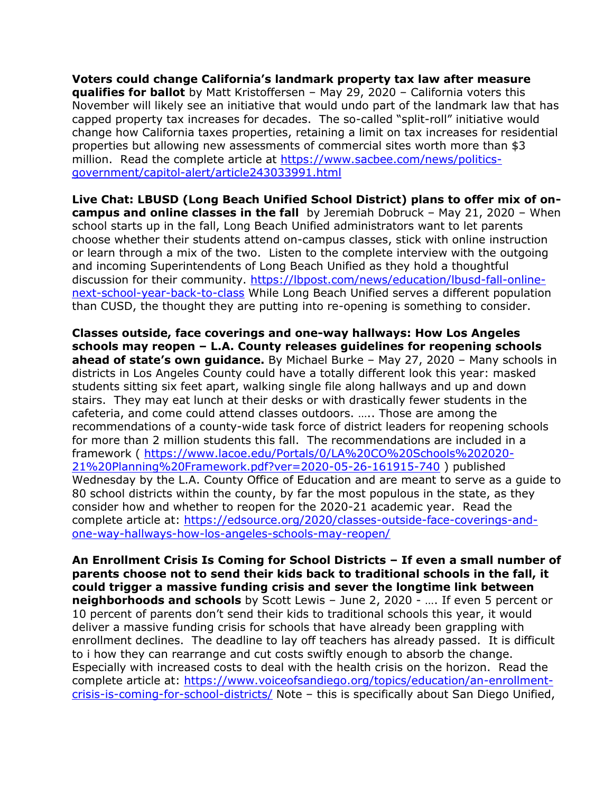**Voters could change California's landmark property tax law after measure qualifies for ballot** by Matt Kristoffersen – May 29, 2020 – California voters this November will likely see an initiative that would undo part of the landmark law that has capped property tax increases for decades. The so-called "split-roll" initiative would change how California taxes properties, retaining a limit on tax increases for residential properties but allowing new assessments of commercial sites worth more than \$3 million. Read the complete article at [https://www.sacbee.com/news/politics](https://www.sacbee.com/news/politics-government/capitol-alert/article243033991.html)[government/capitol-alert/article243033991.html](https://www.sacbee.com/news/politics-government/capitol-alert/article243033991.html)

**Live Chat: LBUSD (Long Beach Unified School District) plans to offer mix of oncampus and online classes in the fall** by Jeremiah Dobruck – May 21, 2020 – When school starts up in the fall, Long Beach Unified administrators want to let parents choose whether their students attend on-campus classes, stick with online instruction or learn through a mix of the two. Listen to the complete interview with the outgoing and incoming Superintendents of Long Beach Unified as they hold a thoughtful discussion for their community. [https://lbpost.com/news/education/lbusd-fall-online](https://lbpost.com/news/education/lbusd-fall-online-next-school-year-back-to-class)[next-school-year-back-to-class](https://lbpost.com/news/education/lbusd-fall-online-next-school-year-back-to-class) While Long Beach Unified serves a different population than CUSD, the thought they are putting into re-opening is something to consider.

**Classes outside, face coverings and one-way hallways: How Los Angeles schools may reopen – L.A. County releases guidelines for reopening schools ahead of state's own guidance.** By Michael Burke – May 27, 2020 – Many schools in districts in Los Angeles County could have a totally different look this year: masked students sitting six feet apart, walking single file along hallways and up and down stairs. They may eat lunch at their desks or with drastically fewer students in the cafeteria, and come could attend classes outdoors. ….. Those are among the recommendations of a county-wide task force of district leaders for reopening schools for more than 2 million students this fall. The recommendations are included in a framework ( [https://www.lacoe.edu/Portals/0/LA%20CO%20Schools%202020-](https://www.lacoe.edu/Portals/0/LA%20CO%20Schools%202020-21%20Planning%20Framework.pdf?ver=2020-05-26-161915-740) [21%20Planning%20Framework.pdf?ver=2020-05-26-161915-740](https://www.lacoe.edu/Portals/0/LA%20CO%20Schools%202020-21%20Planning%20Framework.pdf?ver=2020-05-26-161915-740) ) published Wednesday by the L.A. County Office of Education and are meant to serve as a guide to 80 school districts within the county, by far the most populous in the state, as they consider how and whether to reopen for the 2020-21 academic year. Read the complete article at: [https://edsource.org/2020/classes-outside-face-coverings-and](https://edsource.org/2020/classes-outside-face-coverings-and-one-way-hallways-how-los-angeles-schools-may-reopen/)[one-way-hallways-how-los-angeles-schools-may-reopen/](https://edsource.org/2020/classes-outside-face-coverings-and-one-way-hallways-how-los-angeles-schools-may-reopen/)

**An Enrollment Crisis Is Coming for School Districts – If even a small number of parents choose not to send their kids back to traditional schools in the fall, it could trigger a massive funding crisis and sever the longtime link between neighborhoods and schools** by Scott Lewis – June 2, 2020 - …. If even 5 percent or 10 percent of parents don't send their kids to traditional schools this year, it would deliver a massive funding crisis for schools that have already been grappling with enrollment declines. The deadline to lay off teachers has already passed. It is difficult to i how they can rearrange and cut costs swiftly enough to absorb the change. Especially with increased costs to deal with the health crisis on the horizon. Read the complete article at: [https://www.voiceofsandiego.org/topics/education/an-enrollment](https://www.voiceofsandiego.org/topics/education/an-enrollment-crisis-is-coming-for-school-districts/)[crisis-is-coming-for-school-districts/](https://www.voiceofsandiego.org/topics/education/an-enrollment-crisis-is-coming-for-school-districts/) Note - this is specifically about San Diego Unified,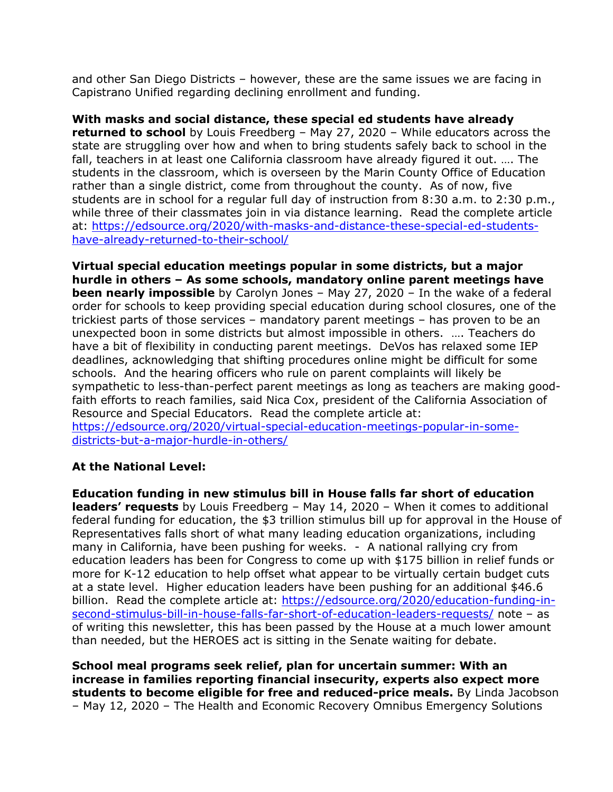and other San Diego Districts – however, these are the same issues we are facing in Capistrano Unified regarding declining enrollment and funding.

**With masks and social distance, these special ed students have already returned to school** by Louis Freedberg – May 27, 2020 – While educators across the state are struggling over how and when to bring students safely back to school in the fall, teachers in at least one California classroom have already figured it out. …. The students in the classroom, which is overseen by the Marin County Office of Education rather than a single district, come from throughout the county. As of now, five students are in school for a regular full day of instruction from 8:30 a.m. to 2:30 p.m., while three of their classmates join in via distance learning. Read the complete article at: [https://edsource.org/2020/with-masks-and-distance-these-special-ed-students](https://edsource.org/2020/with-masks-and-distance-these-special-ed-students-have-already-returned-to-their-school/)[have-already-returned-to-their-school/](https://edsource.org/2020/with-masks-and-distance-these-special-ed-students-have-already-returned-to-their-school/)

**Virtual special education meetings popular in some districts, but a major hurdle in others – As some schools, mandatory online parent meetings have been nearly impossible** by Carolyn Jones – May 27, 2020 – In the wake of a federal order for schools to keep providing special education during school closures, one of the trickiest parts of those services – mandatory parent meetings – has proven to be an unexpected boon in some districts but almost impossible in others. …. Teachers do have a bit of flexibility in conducting parent meetings. DeVos has relaxed some IEP deadlines, acknowledging that shifting procedures online might be difficult for some schools. And the hearing officers who rule on parent complaints will likely be sympathetic to less-than-perfect parent meetings as long as teachers are making goodfaith efforts to reach families, said Nica Cox, president of the California Association of Resource and Special Educators. Read the complete article at: [https://edsource.org/2020/virtual-special-education-meetings-popular-in-some](https://edsource.org/2020/virtual-special-education-meetings-popular-in-some-districts-but-a-major-hurdle-in-others/)[districts-but-a-major-hurdle-in-others/](https://edsource.org/2020/virtual-special-education-meetings-popular-in-some-districts-but-a-major-hurdle-in-others/)

### **At the National Level:**

**Education funding in new stimulus bill in House falls far short of education leaders' requests** by Louis Freedberg – May 14, 2020 – When it comes to additional federal funding for education, the \$3 trillion stimulus bill up for approval in the House of Representatives falls short of what many leading education organizations, including many in California, have been pushing for weeks. - A national rallying cry from education leaders has been for Congress to come up with \$175 billion in relief funds or more for K-12 education to help offset what appear to be virtually certain budget cuts at a state level. Higher education leaders have been pushing for an additional \$46.6 billion. Read the complete article at: [https://edsource.org/2020/education-funding-in](https://edsource.org/2020/education-funding-in-second-stimulus-bill-in-house-falls-far-short-of-education-leaders-requests/)[second-stimulus-bill-in-house-falls-far-short-of-education-leaders-requests/](https://edsource.org/2020/education-funding-in-second-stimulus-bill-in-house-falls-far-short-of-education-leaders-requests/) note – as of writing this newsletter, this has been passed by the House at a much lower amount than needed, but the HEROES act is sitting in the Senate waiting for debate.

**School meal programs seek relief, plan for uncertain summer: With an increase in families reporting financial insecurity, experts also expect more students to become eligible for free and reduced-price meals.** By Linda Jacobson – May 12, 2020 – The Health and Economic Recovery Omnibus Emergency Solutions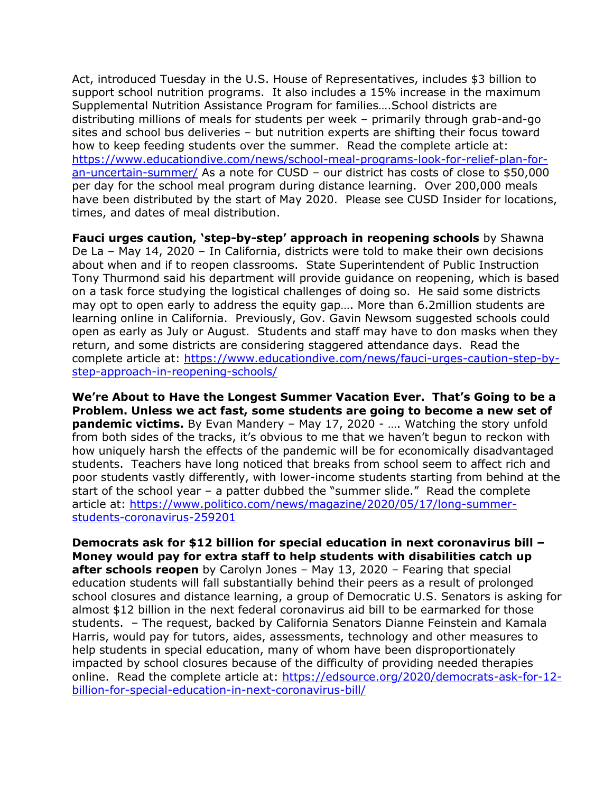Act, introduced Tuesday in the U.S. House of Representatives, includes \$3 billion to support school nutrition programs. It also includes a 15% increase in the maximum Supplemental Nutrition Assistance Program for families….School districts are distributing millions of meals for students per week – primarily through grab-and-go sites and school bus deliveries – but nutrition experts are shifting their focus toward how to keep feeding students over the summer. Read the complete article at: [https://www.educationdive.com/news/school-meal-programs-look-for-relief-plan-for](https://www.educationdive.com/news/school-meal-programs-look-for-relief-plan-for-an-uncertain-summer/)[an-uncertain-summer/](https://www.educationdive.com/news/school-meal-programs-look-for-relief-plan-for-an-uncertain-summer/) As a note for CUSD – our district has costs of close to \$50,000 per day for the school meal program during distance learning. Over 200,000 meals have been distributed by the start of May 2020. Please see CUSD Insider for locations, times, and dates of meal distribution.

**Fauci urges caution, 'step-by-step' approach in reopening schools** by Shawna De La – May 14, 2020 – In California, districts were told to make their own decisions about when and if to reopen classrooms. State Superintendent of Public Instruction Tony Thurmond said his department will provide guidance on reopening, which is based on a task force studying the logistical challenges of doing so. He said some districts may opt to open early to address the equity gap…. More than 6.2million students are learning online in California. Previously, Gov. Gavin Newsom suggested schools could open as early as July or August. Students and staff may have to don masks when they return, and some districts are considering staggered attendance days. Read the complete article at: [https://www.educationdive.com/news/fauci-urges-caution-step-by](https://www.educationdive.com/news/fauci-urges-caution-step-by-step-approach-in-reopening-schools/)[step-approach-in-reopening-schools/](https://www.educationdive.com/news/fauci-urges-caution-step-by-step-approach-in-reopening-schools/)

**We're About to Have the Longest Summer Vacation Ever. That's Going to be a Problem. Unless we act fast, some students are going to become a new set of pandemic victims.** By Evan Mandery – May 17, 2020 - .... Watching the story unfold from both sides of the tracks, it's obvious to me that we haven't begun to reckon with how uniquely harsh the effects of the pandemic will be for economically disadvantaged students. Teachers have long noticed that breaks from school seem to affect rich and poor students vastly differently, with lower-income students starting from behind at the start of the school year – a patter dubbed the "summer slide." Read the complete article at: [https://www.politico.com/news/magazine/2020/05/17/long-summer](https://www.politico.com/news/magazine/2020/05/17/long-summer-students-coronavirus-259201)[students-coronavirus-259201](https://www.politico.com/news/magazine/2020/05/17/long-summer-students-coronavirus-259201)

**Democrats ask for \$12 billion for special education in next coronavirus bill – Money would pay for extra staff to help students with disabilities catch up after schools reopen** by Carolyn Jones – May 13, 2020 – Fearing that special education students will fall substantially behind their peers as a result of prolonged school closures and distance learning, a group of Democratic U.S. Senators is asking for almost \$12 billion in the next federal coronavirus aid bill to be earmarked for those students. – The request, backed by California Senators Dianne Feinstein and Kamala Harris, would pay for tutors, aides, assessments, technology and other measures to help students in special education, many of whom have been disproportionately impacted by school closures because of the difficulty of providing needed therapies online. Read the complete article at: [https://edsource.org/2020/democrats-ask-for-12](https://edsource.org/2020/democrats-ask-for-12-billion-for-special-education-in-next-coronavirus-bill/) [billion-for-special-education-in-next-coronavirus-bill/](https://edsource.org/2020/democrats-ask-for-12-billion-for-special-education-in-next-coronavirus-bill/)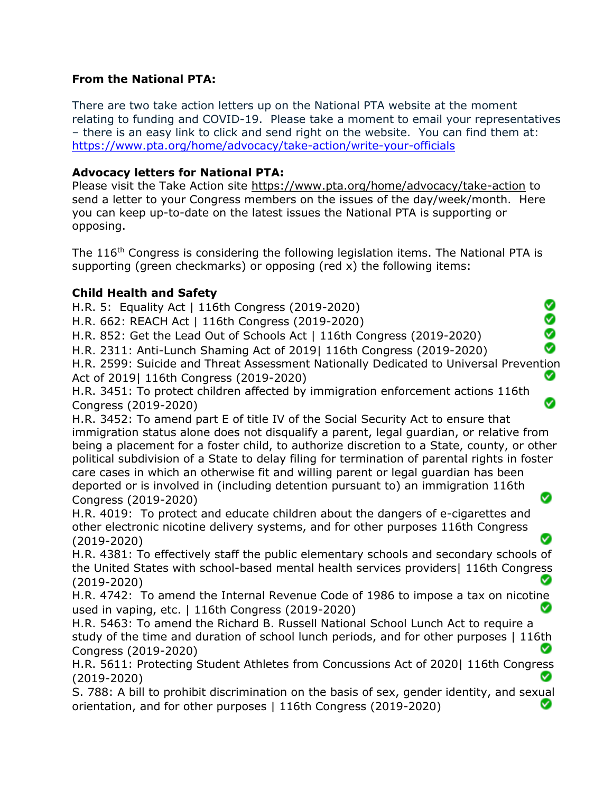#### **From the National PTA:**

There are two take action letters up on the National PTA website at the moment relating to funding and COVID-19. Please take a moment to email your representatives – there is an easy link to click and send right on the website. You can find them at: <https://www.pta.org/home/advocacy/take-action/write-your-officials>

### **Advocacy letters for National PTA:**

Please visit the Take Action site<https://www.pta.org/home/advocacy/take-action> to send a letter to your Congress members on the issues of the day/week/month. Here you can keep up-to-date on the latest issues the National PTA is supporting or opposing.

The 116<sup>th</sup> Congress is considering the following legislation items. The National PTA is supporting (green checkmarks) or opposing (red x) the following items:

### **Child Health and Safety**

H.R. 5: Equality Act | 116th Congress (2019-2020)

H.R. 662: REACH Act | 116th Congress (2019-2020)

H.R. 852: Get the Lead Out of Schools Act | 116th Congress (2019-2020)

H.R. 2311: Anti-Lunch Shaming Act of 2019| 116th Congress (2019-2020)

H.R. 2599: Suicide and Threat Assessment Nationally Dedicated to Universal Prevention Act of 2019| 116th Congress (2019-2020) Ø

◙ Ø ◙ Ø

Ø

H.R. 3451: To protect children affected by immigration enforcement actions 116th Congress (2019-2020)

H.R. 3452: To amend part E of title IV of the Social Security Act to ensure that immigration status alone does not disqualify a parent, legal guardian, or relative from being a placement for a foster child, to authorize discretion to a State, county, or other political subdivision of a State to delay filing for termination of parental rights in foster care cases in which an otherwise fit and willing parent or legal guardian has been deported or is involved in (including detention pursuant to) an immigration 116th Congress (2019-2020) Ø

H.R. 4019: To protect and educate children about the dangers of e-cigarettes and other electronic nicotine delivery systems, and for other purposes 116th Congress (2019-2020)

H.R. 4381: To effectively staff the public elementary schools and secondary schools of the United States with school-based mental health services providers| 116th Congress (2019-2020)

H.R. 4742: To amend the Internal Revenue Code of 1986 to impose a tax on nicotine used in vaping, etc. | 116th Congress (2019-2020)

H.R. 5463: To amend the Richard B. Russell National School Lunch Act to require a study of the time and duration of school lunch periods, and for other purposes | 116th Congress (2019-2020)

H.R. 5611: Protecting Student Athletes from Concussions Act of 2020| 116th Congress ◙ (2019-2020)

S. 788: A bill to prohibit discrimination on the basis of sex, gender identity, and sexual orientation, and for other purposes | 116th Congress (2019-2020)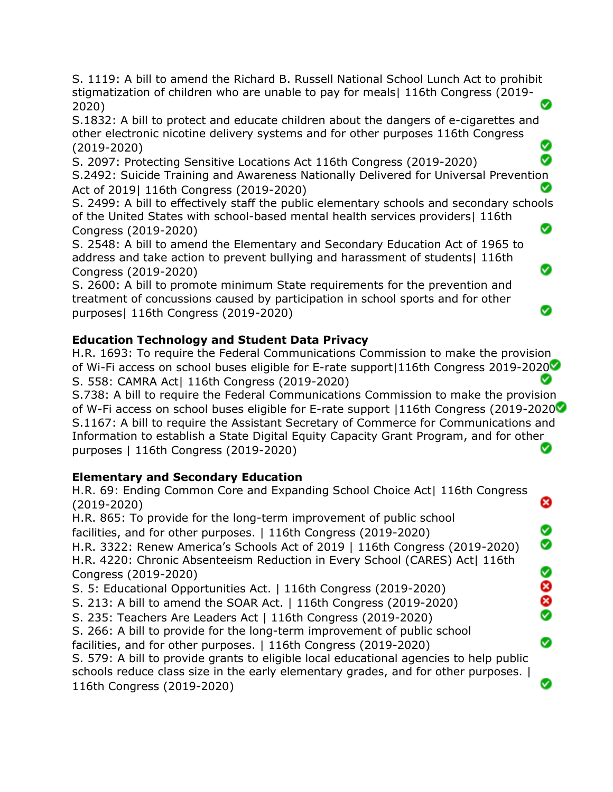S. 1119: A bill to amend the Richard B. Russell National School Lunch Act to prohibit stigmatization of children who are unable to pay for meals| 116th Congress (2019- 2020)

S.1832: A bill to protect and educate children about the dangers of e-cigarettes and other electronic nicotine delivery systems and for other purposes 116th Congress (2019-2020)

Ø S. 2097: Protecting Sensitive Locations Act 116th Congress (2019-2020) S.2492: Suicide Training and Awareness Nationally Delivered for Universal Prevention Ø Act of 2019| 116th Congress (2019-2020)

S. 2499: A bill to effectively staff the public elementary schools and secondary schools of the United States with school-based mental health services providers| 116th ◙ Congress (2019-2020)

Ø

Ø

S. 2548: A bill to amend the Elementary and Secondary Education Act of 1965 to address and take action to prevent bullying and harassment of students| 116th Congress (2019-2020)

S. 2600: A bill to promote minimum State requirements for the prevention and treatment of concussions caused by participation in school sports and for other purposes| 116th Congress (2019-2020)

# **Education Technology and Student Data Privacy**

H.R. 1693: To require the Federal Communications Commission to make the provision of Wi-Fi access on school buses eligible for E-rate support|116th Congress 2019-2020 Ø S. 558: CAMRA Act| 116th Congress (2019-2020)

S.738: A bill to require the Federal Communications Commission to make the provision of W-Fi access on school buses eligible for E-rate support |116th Congress (2019-2020 S.1167: A bill to require the Assistant Secretary of Commerce for Communications and Information to establish a State Digital Equity Capacity Grant Program, and for other Ø purposes | 116th Congress (2019-2020)

# **Elementary and Secondary Education**

H.R. 69: Ending Common Core and Expanding School Choice Act| 116th Congress ೞ (2019-2020) H.R. 865: To provide for the long-term improvement of public school facilities, and for other purposes. | 116th Congress (2019-2020) Ø ◙ H.R. 3322: Renew America's Schools Act of 2019 | 116th Congress (2019-2020) H.R. 4220: Chronic Absenteeism Reduction in Every School (CARES) Act| 116th 8<br>8<br>8 Congress (2019-2020) S. 5: Educational Opportunities Act. | 116th Congress (2019-2020) S. 213: A bill to amend the SOAR Act. | 116th Congress (2019-2020) S. 235: Teachers Are Leaders Act | 116th Congress (2019-2020) S. 266: A bill to provide for the long-term improvement of public school Ø facilities, and for other purposes. | 116th Congress (2019-2020) S. 579: A bill to provide grants to eligible local educational agencies to help public schools reduce class size in the early elementary grades, and for other purposes. | ◙ 116th Congress (2019-2020)